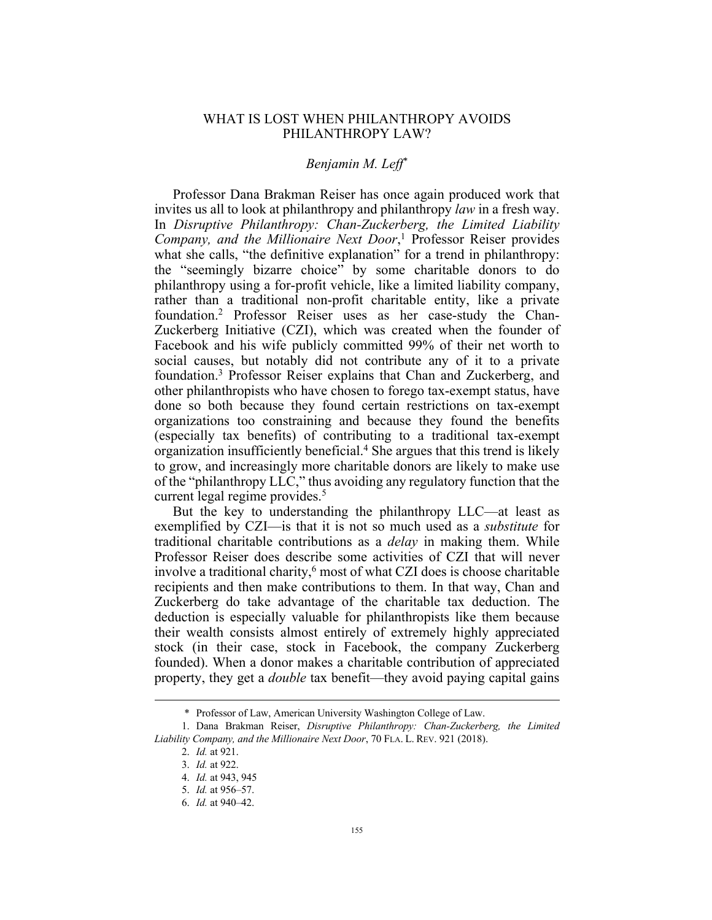## WHAT IS LOST WHEN PHILANTHROPY AVOIDS PHILANTHROPY LAW?

## *Benjamin M. Leff*\*

Professor Dana Brakman Reiser has once again produced work that invites us all to look at philanthropy and philanthropy *law* in a fresh way. In *Disruptive Philanthropy: Chan-Zuckerberg, the Limited Liability Company, and the Millionaire Next Door*, <sup>1</sup> Professor Reiser provides what she calls, "the definitive explanation" for a trend in philanthropy: the "seemingly bizarre choice" by some charitable donors to do philanthropy using a for-profit vehicle, like a limited liability company, rather than a traditional non-profit charitable entity, like a private foundation.2 Professor Reiser uses as her case-study the Chan-Zuckerberg Initiative (CZI), which was created when the founder of Facebook and his wife publicly committed 99% of their net worth to social causes, but notably did not contribute any of it to a private foundation.3 Professor Reiser explains that Chan and Zuckerberg, and other philanthropists who have chosen to forego tax-exempt status, have done so both because they found certain restrictions on tax-exempt organizations too constraining and because they found the benefits (especially tax benefits) of contributing to a traditional tax-exempt organization insufficiently beneficial.<sup>4</sup> She argues that this trend is likely to grow, and increasingly more charitable donors are likely to make use of the "philanthropy LLC," thus avoiding any regulatory function that the current legal regime provides.<sup>5</sup>

But the key to understanding the philanthropy LLC—at least as exemplified by CZI—is that it is not so much used as a *substitute* for traditional charitable contributions as a *delay* in making them. While Professor Reiser does describe some activities of CZI that will never involve a traditional charity, $6 \text{ most of what CZI does is choose charitable}$ recipients and then make contributions to them. In that way, Chan and Zuckerberg do take advantage of the charitable tax deduction. The deduction is especially valuable for philanthropists like them because their wealth consists almost entirely of extremely highly appreciated stock (in their case, stock in Facebook, the company Zuckerberg founded). When a donor makes a charitable contribution of appreciated property, they get a *double* tax benefit—they avoid paying capital gains

<sup>\*</sup> Professor of Law, American University Washington College of Law.

<sup>1.</sup> Dana Brakman Reiser, *Disruptive Philanthropy: Chan-Zuckerberg, the Limited Liability Company, and the Millionaire Next Door*, 70 FLA. L. REV. 921 (2018).

<sup>2.</sup> *Id.* at 921.

<sup>3.</sup> *Id.* at 922.

<sup>4.</sup> *Id.* at 943, 945

<sup>5.</sup> *Id.* at 956–57.

<sup>6.</sup> *Id.* at 940–42.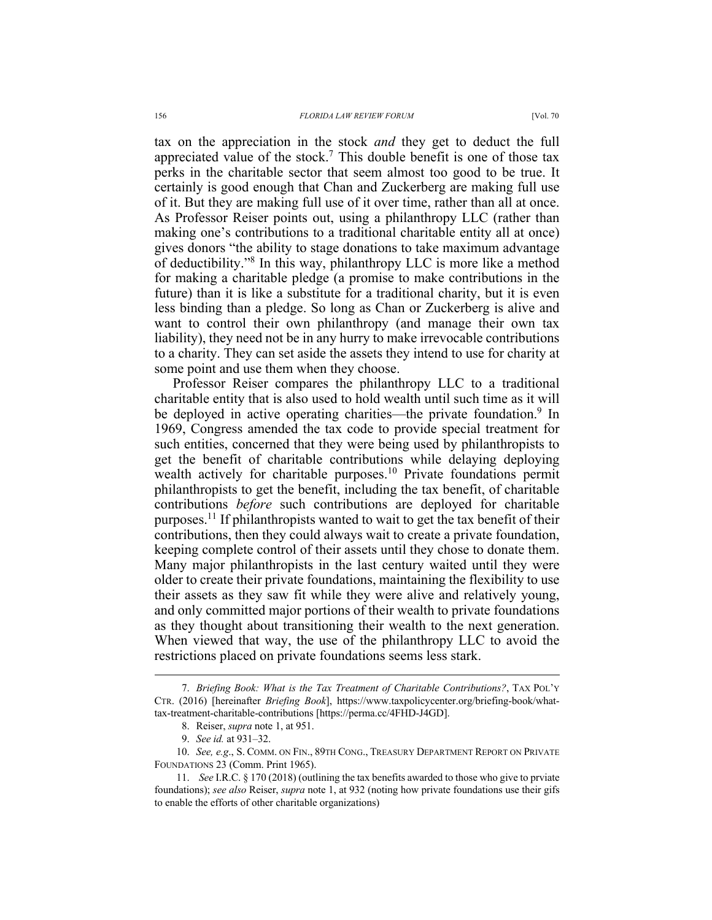tax on the appreciation in the stock *and* they get to deduct the full appreciated value of the stock.<sup>7</sup> This double benefit is one of those tax perks in the charitable sector that seem almost too good to be true. It certainly is good enough that Chan and Zuckerberg are making full use of it. But they are making full use of it over time, rather than all at once. As Professor Reiser points out, using a philanthropy LLC (rather than making one's contributions to a traditional charitable entity all at once) gives donors "the ability to stage donations to take maximum advantage of deductibility."8 In this way, philanthropy LLC is more like a method for making a charitable pledge (a promise to make contributions in the future) than it is like a substitute for a traditional charity, but it is even less binding than a pledge. So long as Chan or Zuckerberg is alive and want to control their own philanthropy (and manage their own tax liability), they need not be in any hurry to make irrevocable contributions to a charity. They can set aside the assets they intend to use for charity at

some point and use them when they choose. Professor Reiser compares the philanthropy LLC to a traditional charitable entity that is also used to hold wealth until such time as it will be deployed in active operating charities—the private foundation.<sup>9</sup> In 1969, Congress amended the tax code to provide special treatment for such entities, concerned that they were being used by philanthropists to get the benefit of charitable contributions while delaying deploying wealth actively for charitable purposes.<sup>10</sup> Private foundations permit philanthropists to get the benefit, including the tax benefit, of charitable contributions *before* such contributions are deployed for charitable purposes.<sup>11</sup> If philanthropists wanted to wait to get the tax benefit of their contributions, then they could always wait to create a private foundation, keeping complete control of their assets until they chose to donate them. Many major philanthropists in the last century waited until they were older to create their private foundations, maintaining the flexibility to use their assets as they saw fit while they were alive and relatively young, and only committed major portions of their wealth to private foundations as they thought about transitioning their wealth to the next generation. When viewed that way, the use of the philanthropy LLC to avoid the restrictions placed on private foundations seems less stark.

<sup>7.</sup> *Briefing Book: What is the Tax Treatment of Charitable Contributions?*, TAX POL'Y CTR. (2016) [hereinafter *Briefing Book*], https://www.taxpolicycenter.org/briefing-book/whattax-treatment-charitable-contributions [https://perma.cc/4FHD-J4GD].

<sup>8.</sup> Reiser, *supra* note 1, at 951.

<sup>9.</sup> *See id.* at 931–32.

<sup>10.</sup> *See, e.g*., S. COMM. ON FIN., 89TH CONG., TREASURY DEPARTMENT REPORT ON PRIVATE FOUNDATIONS 23 (Comm. Print 1965).

<sup>11.</sup> *See* I.R.C. § 170 (2018) (outlining the tax benefits awarded to those who give to prviate foundations); *see also* Reiser, *supra* note 1, at 932 (noting how private foundations use their gifs to enable the efforts of other charitable organizations)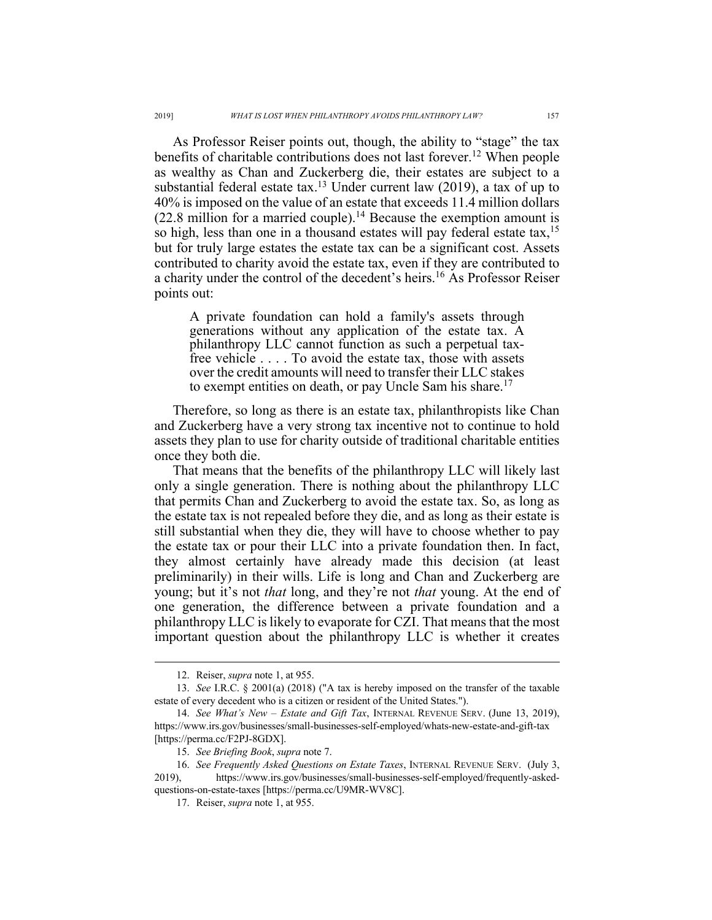As Professor Reiser points out, though, the ability to "stage" the tax benefits of charitable contributions does not last forever.<sup>12</sup> When people as wealthy as Chan and Zuckerberg die, their estates are subject to a substantial federal estate tax.<sup>13</sup> Under current law  $(2019)$ , a tax of up to 40% is imposed on the value of an estate that exceeds 11.4 million dollars  $(22.8 \text{ million for a married couple})$ .<sup>14</sup> Because the exemption amount is so high, less than one in a thousand estates will pay federal estate tax,<sup>15</sup> but for truly large estates the estate tax can be a significant cost. Assets contributed to charity avoid the estate tax, even if they are contributed to a charity under the control of the decedent's heirs.<sup>16</sup> As Professor Reiser points out:

A private foundation can hold a family's assets through generations without any application of the estate tax. A philanthropy LLC cannot function as such a perpetual taxfree vehicle . . . . To avoid the estate tax, those with assets over the credit amounts will need to transfer their LLC stakes to exempt entities on death, or pay Uncle Sam his share.<sup>17</sup>

Therefore, so long as there is an estate tax, philanthropists like Chan and Zuckerberg have a very strong tax incentive not to continue to hold assets they plan to use for charity outside of traditional charitable entities once they both die.

That means that the benefits of the philanthropy LLC will likely last only a single generation. There is nothing about the philanthropy LLC that permits Chan and Zuckerberg to avoid the estate tax. So, as long as the estate tax is not repealed before they die, and as long as their estate is still substantial when they die, they will have to choose whether to pay the estate tax or pour their LLC into a private foundation then. In fact, they almost certainly have already made this decision (at least preliminarily) in their wills. Life is long and Chan and Zuckerberg are young; but it's not *that* long, and they're not *that* young. At the end of one generation, the difference between a private foundation and a philanthropy LLC is likely to evaporate for CZI. That means that the most important question about the philanthropy LLC is whether it creates

<sup>12.</sup> Reiser, *supra* note 1, at 955.

<sup>13.</sup> *See* I.R.C. § 2001(a) (2018) ("A tax is hereby imposed on the transfer of the taxable estate of every decedent who is a citizen or resident of the United States.").

<sup>14.</sup> *See What's New – Estate and Gift Tax*, INTERNAL REVENUE SERV. (June 13, 2019), https://www.irs.gov/businesses/small-businesses-self-employed/whats-new-estate-and-gift-tax [https://perma.cc/F2PJ-8GDX].

<sup>15.</sup> *See Briefing Book*, *supra* note 7.

<sup>16.</sup> *See Frequently Asked Questions on Estate Taxes*, INTERNAL REVENUE SERV. (July 3, 2019), https://www.irs.gov/businesses/small-businesses-self-employed/frequently-askedquestions-on-estate-taxes [https://perma.cc/U9MR-WV8C].

<sup>17.</sup> Reiser, *supra* note 1, at 955.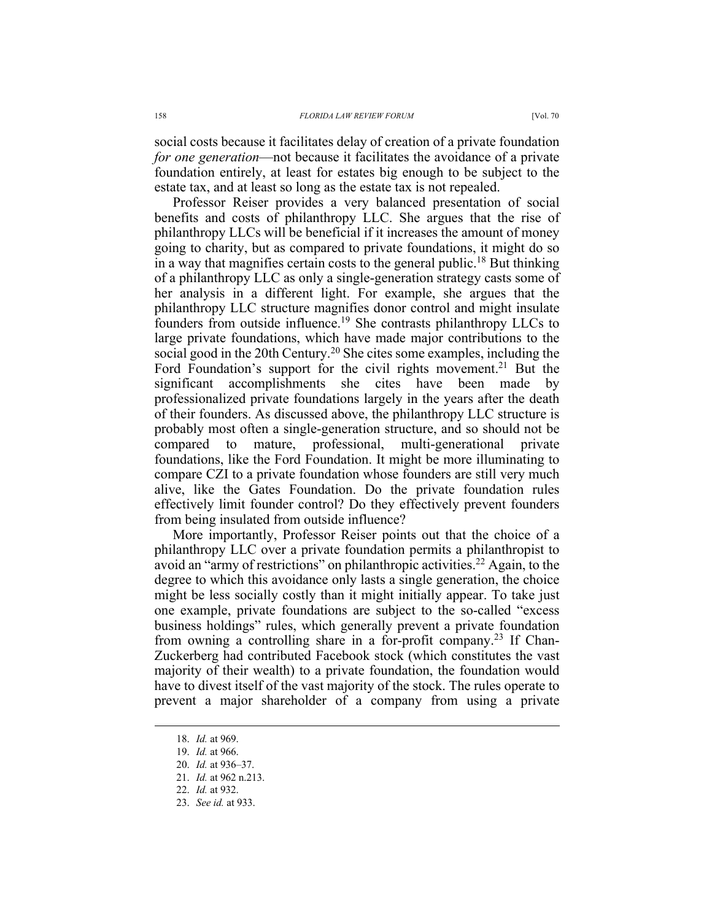social costs because it facilitates delay of creation of a private foundation *for one generation*—not because it facilitates the avoidance of a private foundation entirely, at least for estates big enough to be subject to the estate tax, and at least so long as the estate tax is not repealed.

Professor Reiser provides a very balanced presentation of social benefits and costs of philanthropy LLC. She argues that the rise of philanthropy LLCs will be beneficial if it increases the amount of money going to charity, but as compared to private foundations, it might do so in a way that magnifies certain costs to the general public.<sup>18</sup> But thinking of a philanthropy LLC as only a single-generation strategy casts some of her analysis in a different light. For example, she argues that the philanthropy LLC structure magnifies donor control and might insulate founders from outside influence.<sup>19</sup> She contrasts philanthropy LLCs to large private foundations, which have made major contributions to the social good in the 20th Century.<sup>20</sup> She cites some examples, including the Ford Foundation's support for the civil rights movement.<sup>21</sup> But the significant accomplishments she cites have been made by professionalized private foundations largely in the years after the death of their founders. As discussed above, the philanthropy LLC structure is probably most often a single-generation structure, and so should not be compared to mature, professional, multi-generational private foundations, like the Ford Foundation. It might be more illuminating to compare CZI to a private foundation whose founders are still very much alive, like the Gates Foundation. Do the private foundation rules effectively limit founder control? Do they effectively prevent founders from being insulated from outside influence?

More importantly, Professor Reiser points out that the choice of a philanthropy LLC over a private foundation permits a philanthropist to avoid an "army of restrictions" on philanthropic activities.<sup>22</sup> Again, to the degree to which this avoidance only lasts a single generation, the choice might be less socially costly than it might initially appear. To take just one example, private foundations are subject to the so-called "excess business holdings" rules, which generally prevent a private foundation from owning a controlling share in a for-profit company.<sup>23</sup> If Chan-Zuckerberg had contributed Facebook stock (which constitutes the vast majority of their wealth) to a private foundation, the foundation would have to divest itself of the vast majority of the stock. The rules operate to prevent a major shareholder of a company from using a private

<sup>18.</sup> *Id.* at 969.

<sup>19.</sup> *Id.* at 966.

<sup>20.</sup> *Id.* at 936–37.

<sup>21.</sup> *Id.* at 962 n.213.

<sup>22.</sup> *Id.* at 932.

<sup>23.</sup> *See id.* at 933.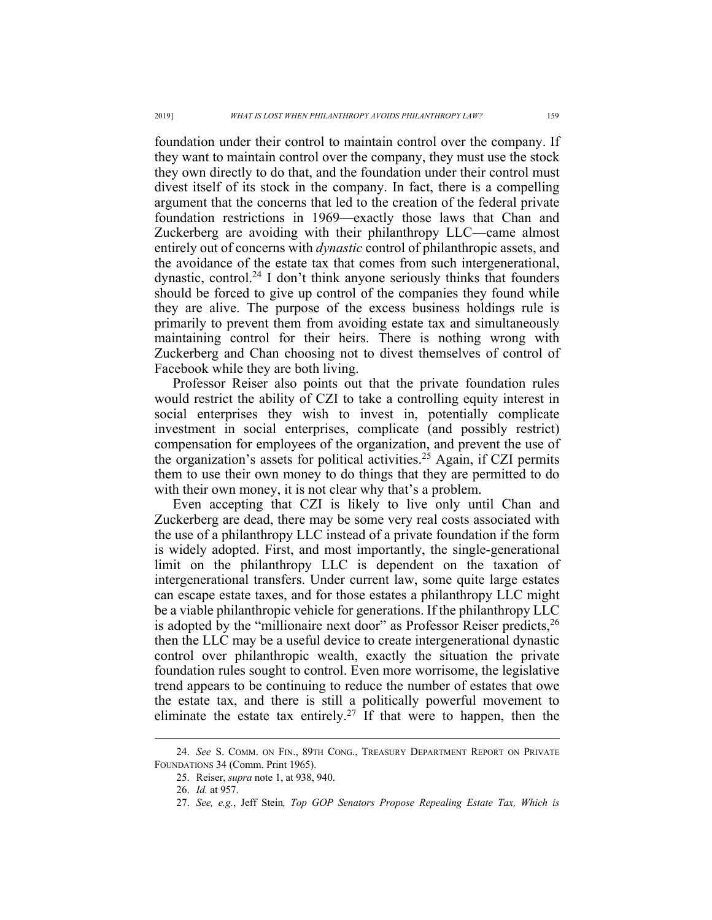foundation under their control to maintain control over the company. If they want to maintain control over the company, they must use the stock they own directly to do that, and the foundation under their control must divest itself of its stock in the company. In fact, there is a compelling argument that the concerns that led to the creation of the federal private foundation restrictions in 1969—exactly those laws that Chan and Zuckerberg are avoiding with their philanthropy LLC—came almost entirely out of concerns with *dynastic* control of philanthropic assets, and the avoidance of the estate tax that comes from such intergenerational, dynastic, control.<sup>24</sup> I don't think anyone seriously thinks that founders should be forced to give up control of the companies they found while they are alive. The purpose of the excess business holdings rule is primarily to prevent them from avoiding estate tax and simultaneously maintaining control for their heirs. There is nothing wrong with Zuckerberg and Chan choosing not to divest themselves of control of Facebook while they are both living.

Professor Reiser also points out that the private foundation rules would restrict the ability of CZI to take a controlling equity interest in social enterprises they wish to invest in, potentially complicate investment in social enterprises, complicate (and possibly restrict) compensation for employees of the organization, and prevent the use of the organization's assets for political activities.<sup>25</sup> Again, if CZI permits them to use their own money to do things that they are permitted to do with their own money, it is not clear why that's a problem.

Even accepting that CZI is likely to live only until Chan and Zuckerberg are dead, there may be some very real costs associated with the use of a philanthropy LLC instead of a private foundation if the form is widely adopted. First, and most importantly, the single-generational limit on the philanthropy LLC is dependent on the taxation of intergenerational transfers. Under current law, some quite large estates can escape estate taxes, and for those estates a philanthropy LLC might be a viable philanthropic vehicle for generations. If the philanthropy LLC is adopted by the "millionaire next door" as Professor Reiser predicts,  $26$ then the LLC may be a useful device to create intergenerational dynastic control over philanthropic wealth, exactly the situation the private foundation rules sought to control. Even more worrisome, the legislative trend appears to be continuing to reduce the number of estates that owe the estate tax, and there is still a politically powerful movement to eliminate the estate tax entirely.<sup>27</sup> If that were to happen, then the

<sup>24.</sup> *See* S. COMM. ON FIN., 89TH CONG., TREASURY DEPARTMENT REPORT ON PRIVATE FOUNDATIONS 34 (Comm. Print 1965).

<sup>25.</sup> Reiser, *supra* note 1, at 938, 940.

<sup>26.</sup> *Id.* at 957.

<sup>27.</sup> *See, e.g.*, Jeff Stein*, Top GOP Senators Propose Repealing Estate Tax, Which is*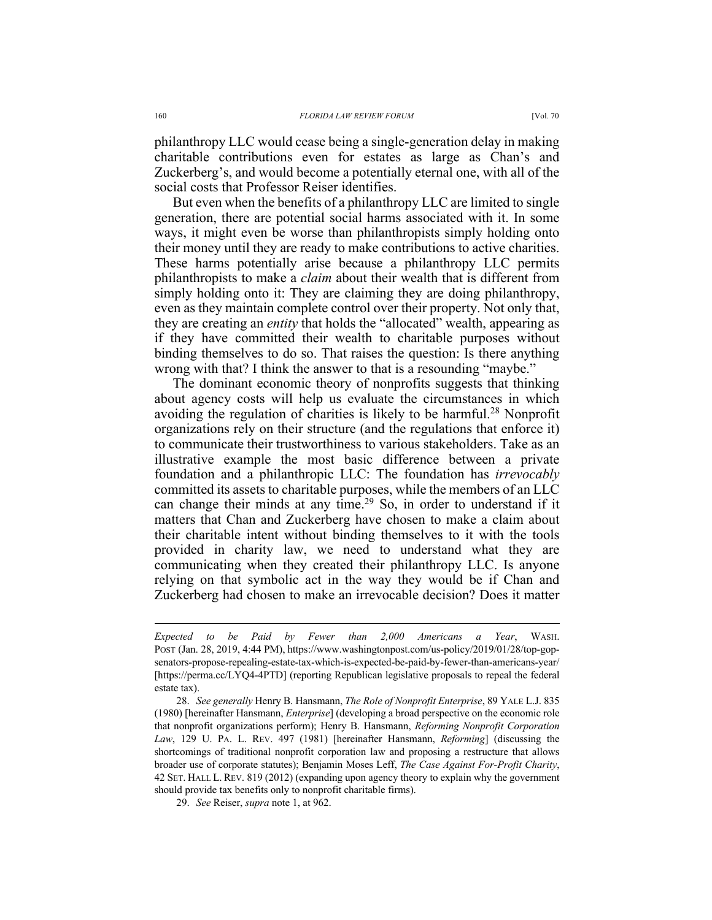philanthropy LLC would cease being a single-generation delay in making charitable contributions even for estates as large as Chan's and Zuckerberg's, and would become a potentially eternal one, with all of the social costs that Professor Reiser identifies.

But even when the benefits of a philanthropy LLC are limited to single generation, there are potential social harms associated with it. In some ways, it might even be worse than philanthropists simply holding onto their money until they are ready to make contributions to active charities. These harms potentially arise because a philanthropy LLC permits philanthropists to make a *claim* about their wealth that is different from simply holding onto it: They are claiming they are doing philanthropy, even as they maintain complete control over their property. Not only that, they are creating an *entity* that holds the "allocated" wealth, appearing as if they have committed their wealth to charitable purposes without binding themselves to do so. That raises the question: Is there anything wrong with that? I think the answer to that is a resounding "maybe."

The dominant economic theory of nonprofits suggests that thinking about agency costs will help us evaluate the circumstances in which avoiding the regulation of charities is likely to be harmful.<sup>28</sup> Nonprofit organizations rely on their structure (and the regulations that enforce it) to communicate their trustworthiness to various stakeholders. Take as an illustrative example the most basic difference between a private foundation and a philanthropic LLC: The foundation has *irrevocably* committed its assets to charitable purposes, while the members of an LLC can change their minds at any time.<sup>29</sup> So, in order to understand if it matters that Chan and Zuckerberg have chosen to make a claim about their charitable intent without binding themselves to it with the tools provided in charity law, we need to understand what they are communicating when they created their philanthropy LLC. Is anyone relying on that symbolic act in the way they would be if Chan and Zuckerberg had chosen to make an irrevocable decision? Does it matter

*Expected to be Paid by Fewer than 2,000 Americans a Year*, WASH. POST (Jan. 28, 2019, 4:44 PM), https://www.washingtonpost.com/us-policy/2019/01/28/top-gopsenators-propose-repealing-estate-tax-which-is-expected-be-paid-by-fewer-than-americans-year/ [https://perma.cc/LYQ4-4PTD] (reporting Republican legislative proposals to repeal the federal estate tax).

<sup>28.</sup> *See generally* Henry B. Hansmann, *The Role of Nonprofit Enterprise*, 89 YALE L.J. 835 (1980) [hereinafter Hansmann, *Enterprise*] (developing a broad perspective on the economic role that nonprofit organizations perform); Henry B. Hansmann, *Reforming Nonprofit Corporation Law*, 129 U. PA. L. REV. 497 (1981) [hereinafter Hansmann, *Reforming*] (discussing the shortcomings of traditional nonprofit corporation law and proposing a restructure that allows broader use of corporate statutes); Benjamin Moses Leff, *The Case Against For-Profit Charity*, 42 SET. HALL L. REV. 819 (2012) (expanding upon agency theory to explain why the government should provide tax benefits only to nonprofit charitable firms).

<sup>29.</sup> *See* Reiser, *supra* note 1, at 962.